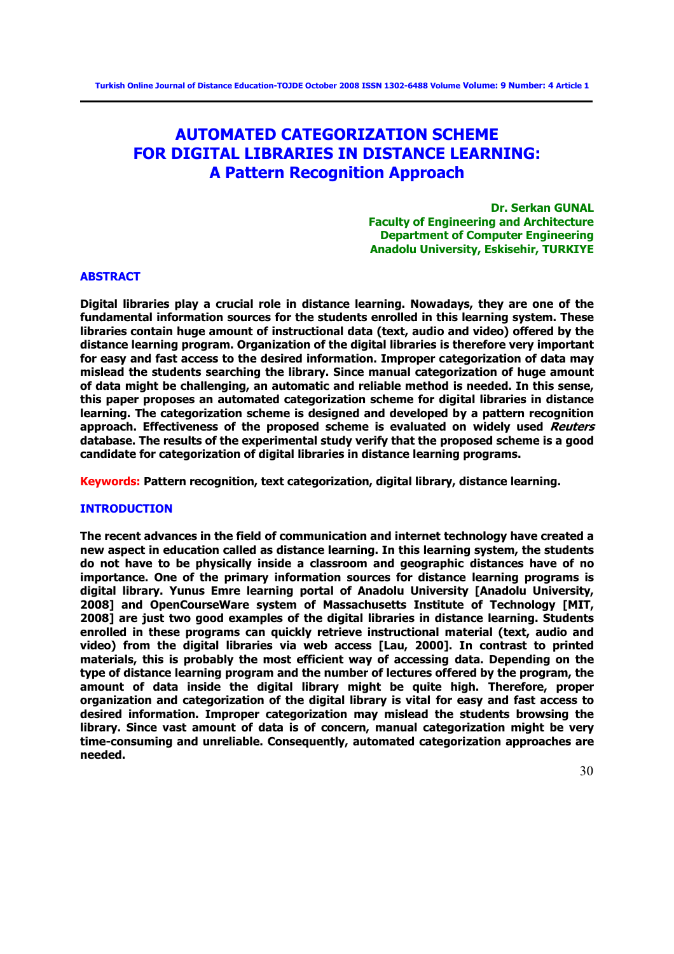# **AUTOMATED CATEGORIZATION SCHEME FOR DIGITAL LIBRARIES IN DISTANCE LEARNING: A Pattern Recognition Approach**

**Dr. Serkan GUNAL Faculty of Engineering and Architecture Department of Computer Engineering Anadolu University, Eskisehir, TURKIYE** 

## **ABSTRACT**

**Digital libraries play a crucial role in distance learning. Nowadays, they are one of the fundamental information sources for the students enrolled in this learning system. These libraries contain huge amount of instructional data (text, audio and video) offered by the distance learning program. Organization of the digital libraries is therefore very important for easy and fast access to the desired information. Improper categorization of data may mislead the students searching the library. Since manual categorization of huge amount of data might be challenging, an automatic and reliable method is needed. In this sense, this paper proposes an automated categorization scheme for digital libraries in distance learning. The categorization scheme is designed and developed by a pattern recognition approach. Effectiveness of the proposed scheme is evaluated on widely used Reuters database. The results of the experimental study verify that the proposed scheme is a good candidate for categorization of digital libraries in distance learning programs.** 

**Keywords: Pattern recognition, text categorization, digital library, distance learning.** 

## **INTRODUCTION**

**The recent advances in the field of communication and internet technology have created a new aspect in education called as distance learning. In this learning system, the students do not have to be physically inside a classroom and geographic distances have of no importance. One of the primary information sources for distance learning programs is digital library. Yunus Emre learning portal of Anadolu University [Anadolu University, 2008] and OpenCourseWare system of Massachusetts Institute of Technology [MIT, 2008] are just two good examples of the digital libraries in distance learning. Students enrolled in these programs can quickly retrieve instructional material (text, audio and video) from the digital libraries via web access [Lau, 2000]. In contrast to printed materials, this is probably the most efficient way of accessing data. Depending on the type of distance learning program and the number of lectures offered by the program, the amount of data inside the digital library might be quite high. Therefore, proper organization and categorization of the digital library is vital for easy and fast access to desired information. Improper categorization may mislead the students browsing the library. Since vast amount of data is of concern, manual categorization might be very time-consuming and unreliable. Consequently, automated categorization approaches are needed.**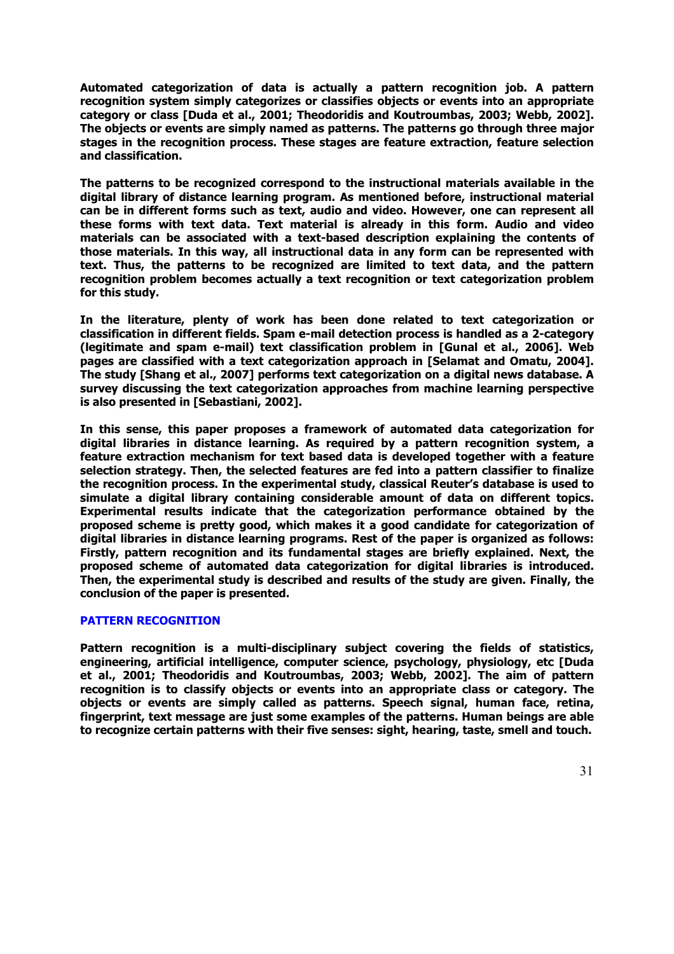**Automated categorization of data is actually a pattern recognition job. A pattern recognition system simply categorizes or classifies objects or events into an appropriate category or class [Duda et al., 2001; Theodoridis and Koutroumbas, 2003; Webb, 2002]. The objects or events are simply named as patterns. The patterns go through three major stages in the recognition process. These stages are feature extraction, feature selection and classification.** 

**The patterns to be recognized correspond to the instructional materials available in the digital library of distance learning program. As mentioned before, instructional material can be in different forms such as text, audio and video. However, one can represent all these forms with text data. Text material is already in this form. Audio and video materials can be associated with a text-based description explaining the contents of those materials. In this way, all instructional data in any form can be represented with text. Thus, the patterns to be recognized are limited to text data, and the pattern recognition problem becomes actually a text recognition or text categorization problem for this study.** 

**In the literature, plenty of work has been done related to text categorization or classification in different fields. Spam e-mail detection process is handled as a 2-category (legitimate and spam e-mail) text classification problem in [Gunal et al., 2006]. Web pages are classified with a text categorization approach in [Selamat and Omatu, 2004]. The study [Shang et al., 2007] performs text categorization on a digital news database. A survey discussing the text categorization approaches from machine learning perspective is also presented in [Sebastiani, 2002].** 

**In this sense, this paper proposes a framework of automated data categorization for digital libraries in distance learning. As required by a pattern recognition system, a feature extraction mechanism for text based data is developed together with a feature selection strategy. Then, the selected features are fed into a pattern classifier to finalize the recognition process. In the experimental study, classical Reuter's database is used to simulate a digital library containing considerable amount of data on different topics. Experimental results indicate that the categorization performance obtained by the proposed scheme is pretty good, which makes it a good candidate for categorization of digital libraries in distance learning programs. Rest of the paper is organized as follows: Firstly, pattern recognition and its fundamental stages are briefly explained. Next, the proposed scheme of automated data categorization for digital libraries is introduced. Then, the experimental study is described and results of the study are given. Finally, the conclusion of the paper is presented.** 

## **PATTERN RECOGNITION**

**Pattern recognition is a multi-disciplinary subject covering the fields of statistics, engineering, artificial intelligence, computer science, psychology, physiology, etc [Duda et al., 2001; Theodoridis and Koutroumbas, 2003; Webb, 2002]. The aim of pattern recognition is to classify objects or events into an appropriate class or category. The objects or events are simply called as patterns. Speech signal, human face, retina, fingerprint, text message are just some examples of the patterns. Human beings are able to recognize certain patterns with their five senses: sight, hearing, taste, smell and touch.**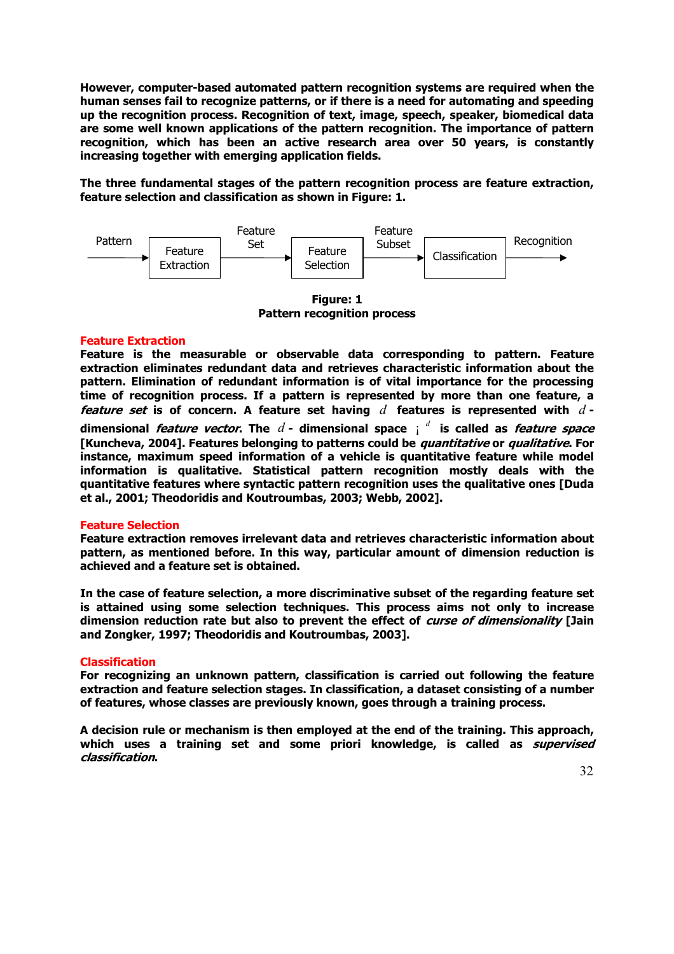**However, computer-based automated pattern recognition systems are required when the human senses fail to recognize patterns, or if there is a need for automating and speeding up the recognition process. Recognition of text, image, speech, speaker, biomedical data are some well known applications of the pattern recognition. The importance of pattern recognition, which has been an active research area over 50 years, is constantly increasing together with emerging application fields.** 

**The three fundamental stages of the pattern recognition process are feature extraction, feature selection and classification as shown in Figure: 1.** 



**Figure: 1 Pattern recognition process** 

## **Feature Extraction**

**Feature is the measurable or observable data corresponding to pattern. Feature extraction eliminates redundant data and retrieves characteristic information about the pattern. Elimination of redundant information is of vital importance for the processing time of recognition process. If a pattern is represented by more than one feature, a feature set is of concern. A feature set having** *d* **features is represented with** *d*  **dimensional** *feature vector***. The**  $d$  **- dimensional space**  $\int d^d$  **is called as** *feature space* **[Kuncheva, 2004]. Features belonging to patterns could be quantitative or qualitative. For instance, maximum speed information of a vehicle is quantitative feature while model information is qualitative. Statistical pattern recognition mostly deals with the quantitative features where syntactic pattern recognition uses the qualitative ones [Duda et al., 2001; Theodoridis and Koutroumbas, 2003; Webb, 2002].** 

## **Feature Selection**

**Feature extraction removes irrelevant data and retrieves characteristic information about pattern, as mentioned before. In this way, particular amount of dimension reduction is achieved and a feature set is obtained.** 

**In the case of feature selection, a more discriminative subset of the regarding feature set is attained using some selection techniques. This process aims not only to increase dimension reduction rate but also to prevent the effect of curse of dimensionality [Jain and Zongker, 1997; Theodoridis and Koutroumbas, 2003].** 

## **Classification**

**For recognizing an unknown pattern, classification is carried out following the feature extraction and feature selection stages. In classification, a dataset consisting of a number of features, whose classes are previously known, goes through a training process.** 

**A decision rule or mechanism is then employed at the end of the training. This approach, which uses a training set and some priori knowledge, is called as supervised classification.**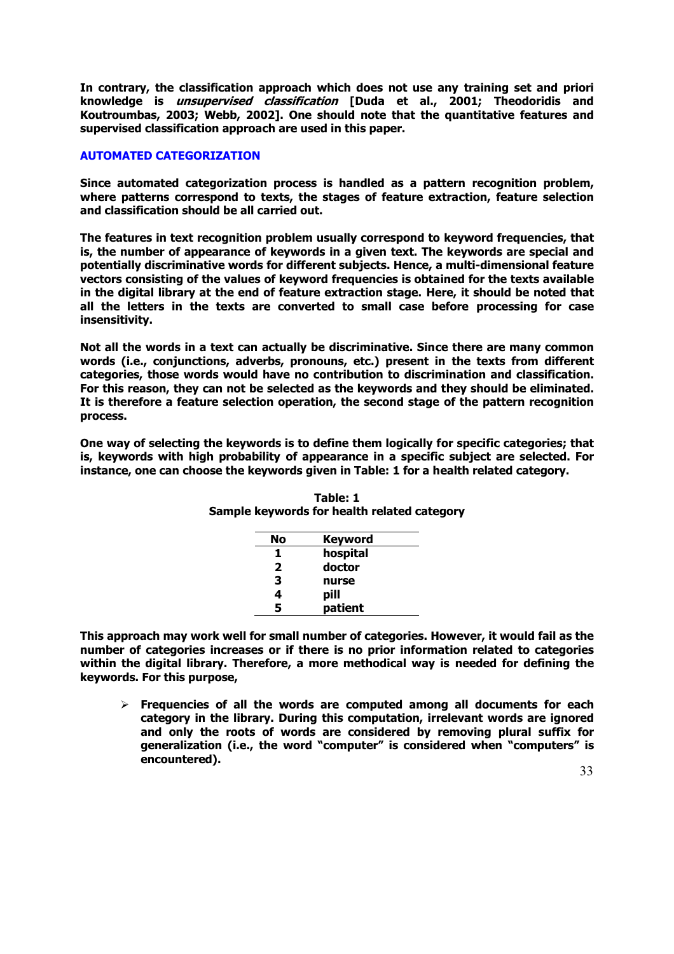**In contrary, the classification approach which does not use any training set and priori knowledge is unsupervised classification [Duda et al., 2001; Theodoridis and Koutroumbas, 2003; Webb, 2002]. One should note that the quantitative features and supervised classification approach are used in this paper.** 

## **AUTOMATED CATEGORIZATION**

**Since automated categorization process is handled as a pattern recognition problem, where patterns correspond to texts, the stages of feature extraction, feature selection and classification should be all carried out.** 

**The features in text recognition problem usually correspond to keyword frequencies, that is, the number of appearance of keywords in a given text. The keywords are special and potentially discriminative words for different subjects. Hence, a multi-dimensional feature vectors consisting of the values of keyword frequencies is obtained for the texts available in the digital library at the end of feature extraction stage. Here, it should be noted that all the letters in the texts are converted to small case before processing for case insensitivity.** 

**Not all the words in a text can actually be discriminative. Since there are many common words (i.e., conjunctions, adverbs, pronouns, etc.) present in the texts from different categories, those words would have no contribution to discrimination and classification. For this reason, they can not be selected as the keywords and they should be eliminated. It is therefore a feature selection operation, the second stage of the pattern recognition process.** 

**One way of selecting the keywords is to define them logically for specific categories; that is, keywords with high probability of appearance in a specific subject are selected. For instance, one can choose the keywords given in Table: 1 for a health related category.** 

| No           | <b>Keyword</b> |
|--------------|----------------|
| 1            | hospital       |
| $\mathbf{2}$ | doctor         |
| 3            | nurse          |
| 4            | pill           |
| 5            | patient        |

| Table: 1                                    |  |
|---------------------------------------------|--|
| Sample keywords for health related category |  |

**This approach may work well for small number of categories. However, it would fail as the number of categories increases or if there is no prior information related to categories within the digital library. Therefore, a more methodical way is needed for defining the keywords. For this purpose,** 

¾ **Frequencies of all the words are computed among all documents for each category in the library. During this computation, irrelevant words are ignored and only the roots of words are considered by removing plural suffix for generalization (i.e., the word "computer" is considered when "computers" is encountered).**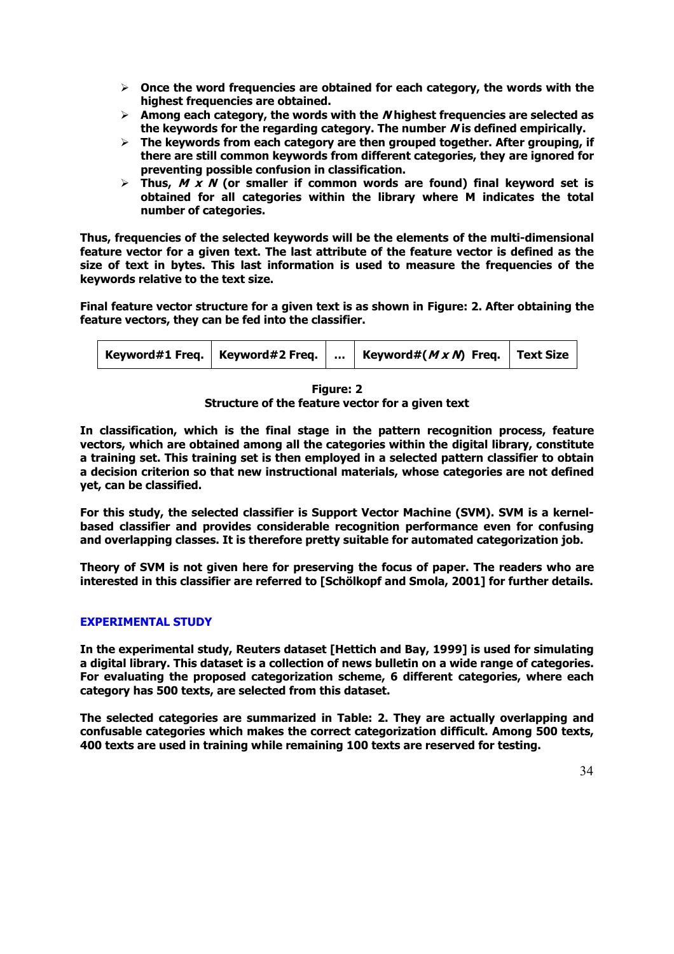- ¾ **Once the word frequencies are obtained for each category, the words with the highest frequencies are obtained.**
- ¾ **Among each category, the words with the N highest frequencies are selected as the keywords for the regarding category. The number N is defined empirically.**
- ¾ **The keywords from each category are then grouped together. After grouping, if there are still common keywords from different categories, they are ignored for preventing possible confusion in classification.**
- ¾ **Thus, M x N (or smaller if common words are found) final keyword set is obtained for all categories within the library where M indicates the total number of categories.**

**Thus, frequencies of the selected keywords will be the elements of the multi-dimensional feature vector for a given text. The last attribute of the feature vector is defined as the size of text in bytes. This last information is used to measure the frequencies of the keywords relative to the text size.** 

**Final feature vector structure for a given text is as shown in Figure: 2. After obtaining the feature vectors, they can be fed into the classifier.** 

| Keyword#( $M \times N$ ) Freq.   Text Size<br>keyword#1 Freq.   Keyword#2 Freq. |  |
|---------------------------------------------------------------------------------|--|
|---------------------------------------------------------------------------------|--|

**Figure: 2** 

**Structure of the feature vector for a given text** 

**In classification, which is the final stage in the pattern recognition process, feature vectors, which are obtained among all the categories within the digital library, constitute a training set. This training set is then employed in a selected pattern classifier to obtain a decision criterion so that new instructional materials, whose categories are not defined yet, can be classified.** 

**For this study, the selected classifier is Support Vector Machine (SVM). SVM is a kernelbased classifier and provides considerable recognition performance even for confusing and overlapping classes. It is therefore pretty suitable for automated categorization job.** 

**Theory of SVM is not given here for preserving the focus of paper. The readers who are interested in this classifier are referred to [Schölkopf and Smola, 2001] for further details.** 

## **EXPERIMENTAL STUDY**

**In the experimental study, Reuters dataset [Hettich and Bay, 1999] is used for simulating a digital library. This dataset is a collection of news bulletin on a wide range of categories. For evaluating the proposed categorization scheme, 6 different categories, where each category has 500 texts, are selected from this dataset.** 

**The selected categories are summarized in Table: 2. They are actually overlapping and confusable categories which makes the correct categorization difficult. Among 500 texts, 400 texts are used in training while remaining 100 texts are reserved for testing.**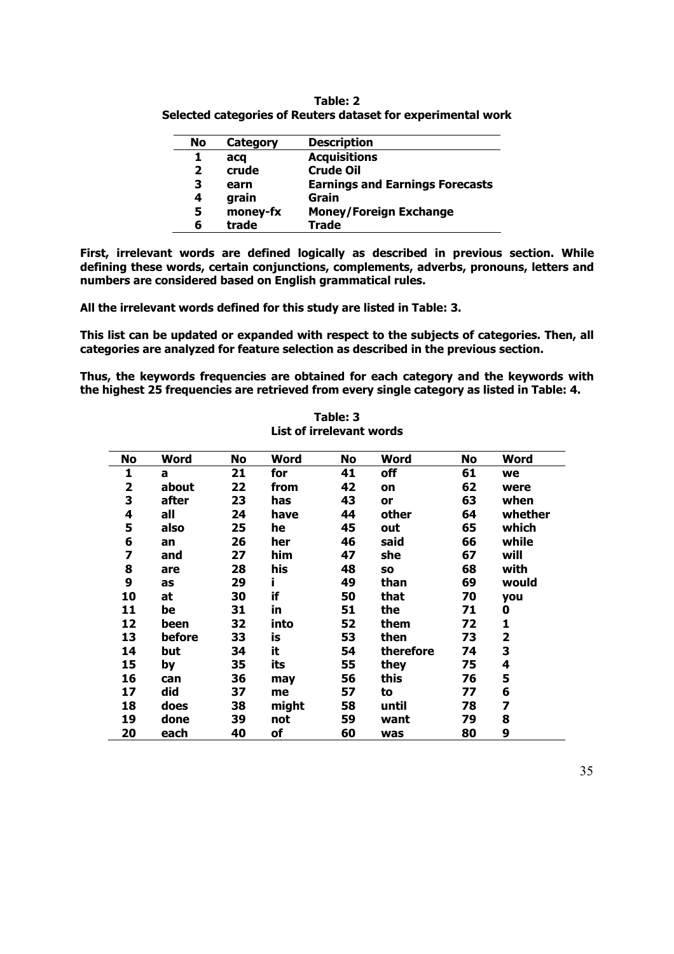| Table: 2                                                     |
|--------------------------------------------------------------|
| Selected categories of Reuters dataset for experimental work |

| No           | Category | <b>Description</b>                     |
|--------------|----------|----------------------------------------|
| 1            | acg      | <b>Acquisitions</b>                    |
| $\mathbf{2}$ | crude    | <b>Crude Oil</b>                       |
| 3            | earn     | <b>Earnings and Earnings Forecasts</b> |
| 4            | grain    | Grain                                  |
| 5            | money-fx | <b>Money/Foreign Exchange</b>          |
| 6            | trade    | <b>Trade</b>                           |

**First, irrelevant words are defined logically as described in previous section. While defining these words, certain conjunctions, complements, adverbs, pronouns, letters and numbers are considered based on English grammatical rules.** 

**All the irrelevant words defined for this study are listed in Table: 3.** 

**This list can be updated or expanded with respect to the subjects of categories. Then, all categories are analyzed for feature selection as described in the previous section.** 

**Thus, the keywords frequencies are obtained for each category and the keywords with the highest 25 frequencies are retrieved from every single category as listed in Table: 4.** 

| No                      | <b>Word</b> | No | Word  | No | Word      | No | <b>Word</b>             |
|-------------------------|-------------|----|-------|----|-----------|----|-------------------------|
| 1                       | a           | 21 | for   | 41 | off       | 61 | we                      |
| $\overline{\mathbf{2}}$ | about       | 22 | from  | 42 | on        | 62 | were                    |
| 3                       | after       | 23 | has   | 43 | <b>or</b> | 63 | when                    |
| 4                       | all         | 24 | have  | 44 | other     | 64 | whether                 |
| 5                       | also        | 25 | he    | 45 | out       | 65 | which                   |
| 6                       | an          | 26 | her   | 46 | said      | 66 | while                   |
| 7                       | and         | 27 | him   | 47 | she       | 67 | will                    |
| 8                       | are         | 28 | his   | 48 | SO        | 68 | with                    |
| 9                       | as          | 29 | i.    | 49 | than      | 69 | would                   |
| 10                      | at          | 30 | if    | 50 | that      | 70 | you                     |
| 11                      | be          | 31 | in    | 51 | the       | 71 | 0                       |
| 12                      | been        | 32 | into  | 52 | them      | 72 | 1                       |
| 13                      | before      | 33 | is    | 53 | then      | 73 | $\overline{\mathbf{2}}$ |
| 14                      | but         | 34 | it    | 54 | therefore | 74 | 3                       |
| 15                      | by          | 35 | its   | 55 | they      | 75 | 4                       |
| 16                      | can         | 36 | may   | 56 | this      | 76 | 5                       |
| 17                      | did         | 37 | me    | 57 | to        | 77 | 6                       |
| 18                      | does        | 38 | might | 58 | until     | 78 | 7                       |
| 19                      | done        | 39 | not   | 59 | want      | 79 | 8                       |
| 20                      | each        | 40 | of    | 60 | was       | 80 | 9                       |

## **Table: 3 List of irrelevant words**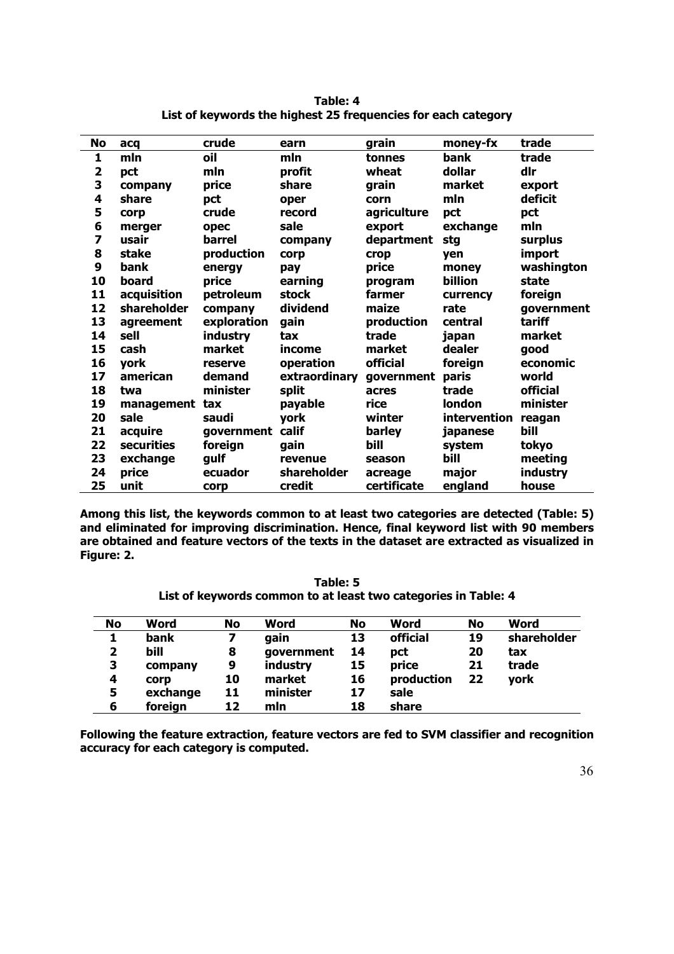| No                      | acq         | crude       | earn          | grain       | money-fx     | trade      |
|-------------------------|-------------|-------------|---------------|-------------|--------------|------------|
| 1                       | mln         | oil         | mln           | tonnes      | bank         | trade      |
| $\overline{\mathbf{2}}$ | pct         | mln         | profit        | wheat       | dollar       | dlr        |
| 3                       | company     | price       | share         | grain       | market       | export     |
| 4                       | share       | pct         | oper          | corn        | mln          | deficit    |
| 5                       | corp        | crude       | record        | agriculture | pct          | pct        |
| 6                       | merger      | opec        | sale          | export      | exchange     | mln        |
| 7                       | usair       | barrel      | company       | department  | stg          | surplus    |
| 8                       | stake       | production  | corp          | <b>crop</b> | ven          | import     |
| 9                       | bank        | energy      | pay           | price       | money        | washington |
| 10                      | board       | price       | earning       | program     | billion      | state      |
| 11                      | acquisition | petroleum   | stock         | farmer      | currency     | foreign    |
| 12                      | shareholder | company     | dividend      | maize       | rate         | government |
| 13                      | agreement   | exploration | gain          | production  | central      | tariff     |
| 14                      | sell        | industry    | tax           | trade       | japan        | market     |
| 15                      | cash        | market      | income        | market      | dealer       | good       |
| 16                      | york        | reserve     | operation     | official    | foreign      | economic   |
| 17                      | american    | demand      | extraordinary | government  | paris        | world      |
| 18                      | twa         | minister    | split         | acres       | trade        | official   |
| 19                      | management  | tax         | payable       | rice        | london       | minister   |
| 20                      | sale        | saudi       | york          | winter      | intervention | reagan     |
| 21                      | acquire     | government  | calif         | barley      | japanese     | bill       |
| 22                      | securities  | foreign     | gain          | bill        | system       | tokyo      |
| 23                      | exchange    | gulf        | revenue       | season      | bill         | meeting    |
| 24                      | price       | ecuador     | shareholder   | acreage     | major        | industry   |
| 25                      | unit        | corp        | credit        | certificate | england      | house      |

**Table: 4 List of keywords the highest 25 frequencies for each category** 

**Among this list, the keywords common to at least two categories are detected (Table: 5) and eliminated for improving discrimination. Hence, final keyword list with 90 members are obtained and feature vectors of the texts in the dataset are extracted as visualized in Figure: 2.** 

**Table: 5 List of keywords common to at least two categories in Table: 4** 

| <b>No</b> | Word     | No | Word       | No | Word       | No | Word        |
|-----------|----------|----|------------|----|------------|----|-------------|
|           | bank     |    | gain       | 13 | official   | 19 | shareholder |
| 2         | bill     | 8  | qovernment | 14 | pct        | 20 | tax         |
| З         | company  | 9  | industry   | 15 | price      | 21 | trade       |
| 4         | corp     | 10 | market     | 16 | production | 22 | york        |
| 5         | exchange | 11 | minister   | 17 | sale       |    |             |
| 6         | foreign  | 12 | mln        | 18 | share      |    |             |

**Following the feature extraction, feature vectors are fed to SVM classifier and recognition accuracy for each category is computed.**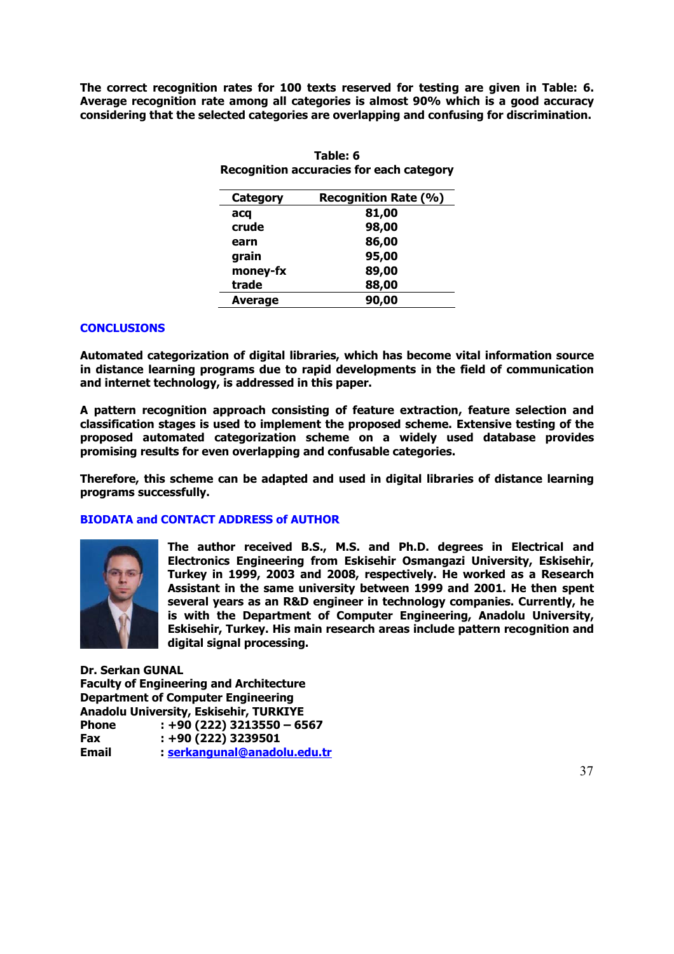**The correct recognition rates for 100 texts reserved for testing are given in Table: 6. Average recognition rate among all categories is almost 90% which is a good accuracy considering that the selected categories are overlapping and confusing for discrimination.** 

| Category | <b>Recognition Rate (%)</b> |
|----------|-----------------------------|
| acq      | 81,00                       |
| crude    | 98,00                       |
| earn     | 86,00                       |
| grain    | 95,00                       |
| money-fx | 89,00                       |
| trade    | 88,00                       |
| Average  | 90,00                       |

**Table: 6 Recognition accuracies for each category** 

## **CONCLUSIONS**

**Automated categorization of digital libraries, which has become vital information source in distance learning programs due to rapid developments in the field of communication and internet technology, is addressed in this paper.** 

**A pattern recognition approach consisting of feature extraction, feature selection and classification stages is used to implement the proposed scheme. Extensive testing of the proposed automated categorization scheme on a widely used database provides promising results for even overlapping and confusable categories.** 

**Therefore, this scheme can be adapted and used in digital libraries of distance learning programs successfully.** 

## **BIODATA and CONTACT ADDRESS of AUTHOR**



**The author received B.S., M.S. and Ph.D. degrees in Electrical and Electronics Engineering from Eskisehir Osmangazi University, Eskisehir, Turkey in 1999, 2003 and 2008, respectively. He worked as a Research Assistant in the same university between 1999 and 2001. He then spent several years as an R&D engineer in technology companies. Currently, he is with the Department of Computer Engineering, Anadolu University, Eskisehir, Turkey. His main research areas include pattern recognition and digital signal processing.** 

**Dr. Serkan GUNAL Faculty of Engineering and Architecture Department of Computer Engineering Anadolu University, Eskisehir, TURKIYE Phone : +90 (222) 3213550 – 6567 Fax : +90 (222) 3239501 Email : serkangunal@anadolu.edu.tr**